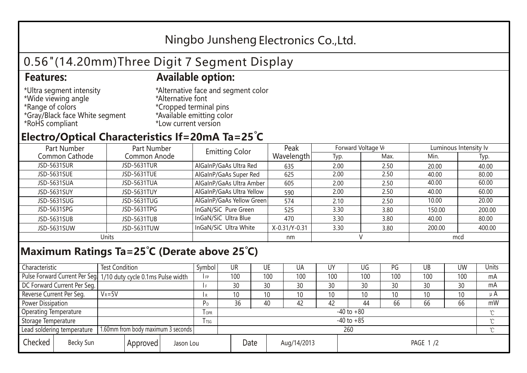## Ningbo Junsheng Electronics Co.,Ltd.

# 0.56"(14.20mm)Three Digit 7 Segment Display

### **Features: Available option:**

- \*Ultra segment intensity \*Wide viewing angle \*Range of colors \*Gray/Black face White segment \*RoHS compliant
- \*Alternative face and segment color \*Alternative font \*Cropped terminal pins \*Available emitting color \*Low current version

### **Electro/Optical Characteristics If=20mA Ta=25 C**

| Part Number    | Part Number        | <b>Emitting Color</b>     | Peak          | Forward Voltage VF |      | Luminous Intensity lv |        |  |
|----------------|--------------------|---------------------------|---------------|--------------------|------|-----------------------|--------|--|
| Common Cathode | Common Anode       |                           | Wavelength    | Typ.               | Max. | Min.                  | Typ.   |  |
| JSD-5631SUR    | <b>JSD-5631TUR</b> | AlGaInP/GaAs Ultra Red    | 635           | 2.00               | 2.50 | 20.00                 | 40.00  |  |
| JSD-5631SUE    | JSD-5631TUE        | AlGaInP/GaAs Super Red    | 625           | 2.00               | 2.50 | 40.00                 | 80.00  |  |
| JSD-5631SUA    | JSD-5631TUA        | AlGaInP/GaAs Ultra Amber  | 605           | 2.00               | 2.50 | 40.00                 | 60.00  |  |
| JSD-5631SUY    | JSD-5631TUY        | AlGaInP/GaAs Ultra Yellow | 590           | 2.00               | 2.50 | 40.00                 | 60.00  |  |
| JSD-5631SUG    | JSD-5631TUG        | AlGaInP/GaAs Yellow Green | 574           | 2.10               | 2.50 | 10.00                 | 20.00  |  |
| JSD-5631SPG    | JSD-5631TPG        | InGaN/SiC Pure Green      | 525           | 3.30               | 3.80 | 150.00                | 200.00 |  |
| JSD-5631SUB    | JSD-5631TUB        | InGaN/SiC Ultra Blue      | 470           | 3.30               | 3.80 | 40.00                 | 80.00  |  |
| JSD-5631SUW    | JSD-5631TUW        | InGaN/SiC Ultra White     | X-0.31/Y-0.31 | 3.30               | 3.80 | 200.00                | 400.00 |  |
| Units          |                    |                           | nm            |                    |      | mcd                   |        |  |

### **Maximum Ratings Ta=25°C (Derate above 25°C)**

| Characteristic                                |            | <b>Test Condition</b><br>Symbol                                  |                                 |                | UR              |  | UE  | UA  | UY  | UG  | PG  | UB              | <b>UW</b> | <b>Units</b> |
|-----------------------------------------------|------------|------------------------------------------------------------------|---------------------------------|----------------|-----------------|--|-----|-----|-----|-----|-----|-----------------|-----------|--------------|
|                                               |            | Pulse Forward Current Per Seg. 1/10 duty cycle 0.1ms Pulse width |                                 |                | 100             |  | 100 | 100 | 100 | 100 | 100 | 100             | 100       | mA           |
| DC Forward Current Per Seg.                   |            |                                                                  |                                 |                | 30              |  | 30  | 30  | 30  | 30  | 30  | 30              | 30        | mA           |
| Reverse Current Per Seg.                      | $V_R = 5V$ |                                                                  |                                 | I R            | 10 <sup>°</sup> |  | 10  | 10  | 10  | 10  | 10  | 10 <sup>°</sup> | 10        | $\mu$ A      |
| <b>Power Dissipation</b>                      |            |                                                                  |                                 |                | 36              |  | 40  | 42  | 42  | 44  | 66  | 66              | 66        | mW           |
| <b>Operating Temperature</b>                  |            |                                                                  | <b>OPR</b>                      | $-40$ to $+80$ |                 |  |     |     |     |     |     |                 | $\sim$    |              |
| Storage Temperature                           |            | <b>I</b> TSG                                                     | $-40$ to $+85$                  |                |                 |  |     |     |     |     |     | $\sim$          |           |              |
| Lead soldering temperature                    |            | 1.60mm from body maximum 3 seconds                               |                                 |                | 260<br>$\gamma$ |  |     |     |     |     |     |                 |           |              |
| Checked<br>Becky Sun<br>Approved<br>Jason Lou |            |                                                                  | Date<br>Aug/14/2013<br>PAGE 1/2 |                |                 |  |     |     |     |     |     |                 |           |              |